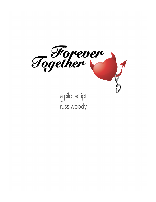

a pilot script russ woody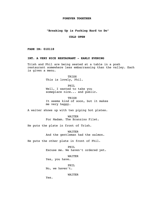## **FOREVER TOGETHER**

# **"Breaking Up is Fucking Hard to Do"**

# **COLD OPEN**

**FADE IN: 010118** 

## **INT. A VERY NICE RESTAURANT - EARLY EVENING**

Trish and Phil are being seated at a table in a posh restaurant somewhere less embarrassing than the valley. Each is given a menu.

> **TRISH** This is lovely, Phil.

PHIL Well, I wanted to take you someplace nice... and public.

**TRISH** It seems kind of soon, but it makes me very happy.

A waiter shows up with two piping hot plates.

WAITER For Madam. The Branzino Filet.

He puts the plate in front of Trish.

WAITER And the gentleman had the salmon.

He puts the other plate in front of Phil.

PHIL Excuse me. We haven't ordered yet.

WAITER Yes, you have.

PHIL

No, we haven't.

WAITER

Yes.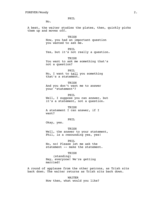PHIL

No.

A beat, the waiter studies the plates, then, quickly picks them up and moves off.

> TRISH Now, you had an important question you wanted to ask me.

> > PHIL

Yes, but it's not really a question.

TRISH

You want to ask me something that's not a question?

PHIL

No, I want to tell you something that's a statement.

TRISH

And you don't want me to answer your "statement"?

PHIL Well, I suppose you can answer, but it's a statement, not a question.

TRISH A statement I can answer, if I want?

PHIL

Okay, yes.

TRISH Well, the answer to your statement, Phil, is a resounding yes, yes!

PHTT.

No, no! Please let me ask the statement -- make the statement.

**TRISH** 

(standing) Hey, everyone! We're getting married!

A round of applause from the other patrons, as Trish sits back down. The waiter returns as Trish sits back down.

> WAITER Now then, what would you like?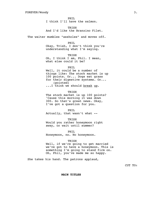PHIL I think I'll have the salmon.

TRISH And I'd like the Branzino Filet.

The waiter mumbles "assholes" and moves off.

PHIL

Okay, Trish, I don't think you're understanding what I'm saying.

TRISH

Oh, I think I am, Phil. I mean, what else could it be?

PHIL

Well, it could be a number of things like: The stock market is up 100 points. Or... Dogs eat grass for their digestive systems. Or... (pointed) ...I think we should break up.

TRISH

The stock market is up 100 points? 'Cause this morning it was down 300. So that's great news. Okay, I've got a question for you.

PHIL Actually, that wasn't what --

TRISH

Would you rather honeymoon right away, or wait until summer?

PHIL Honeymoon, no. No honeymoon.

TRISH

Well, if we're going to get married we've got to have a honeymoon. This is something I'm going to stand firm on. Oh, Phil, you've made me so happy.

She takes his hand. The patrons applaud,

CUT TO:

**MAIN TITLES**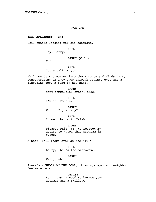### **ACT ONE**

# **INT. APARTMENT - DAY**

Phil enters looking for his roommate.

PHIL

Hey, Larry?

LARRY (O.C.)

Yo!

PHIL Gotta talk to you!

Phil rounds the corner into the kitchen and finds Larry concentrating on a TV show through squinty eyes and a lingering fog, a bong in his hand.

> LARRY Next commercial break, dude.

PHIL. I'm in trouble.

LARRY What'd I just say?

PHIL It went bad with Trish.

LARRY Please, Phil, try to respect my desire to watch this program in peace.

A beat. Phil looks over at the "TV."

PHIL Larry, that's the microwave.

LARRY

Well, huh.

There's a KNOCK ON THE DOOR, it swings open and neighbor Denise enters.

> DENISE Hey, guys. I need to borrow your doormat and a Skillsaw.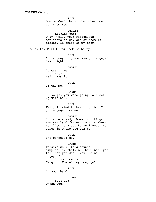PHIL One we don't have, the other you can't borrow. DENISE (heading out) Okay, well, your ridiculous manifesto aside, one of them is already in front of my door. She exits. Phil turns back to Larry. PHIL So, anyway... guess who got engaged last night. LARRY It wasn't me. (then) Wait, was it? PHIL It was me. LARRY I thought you were going to break up with her? PHIL Well, I tried to break up, but I got engaged instead. LARRY You understand, those two things are vastly different. One is where you live separate happy lives, the other is where you don't. PHIL She confused me. LARRY Forgive me if this sounds simplistic, Phil, but how 'bout you tell her you don't want to be engaged? (looks around) Hang on. Where'd my bong go? PHIL In your hand. LARRY

> (sees it) Thank God.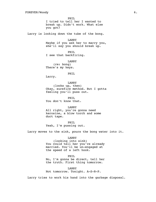PHIL I tried to tell her I wanted to break up. Didn't work. What else you got?

Larry is looking down the tube of the bong.

LARRY Maybe if you ask her to marry you, she'll say you should break up.

PHIL I see that backfiring.

LARRY (re: bong) There's my keys.

### PHIL

Larry.

LARRY (looks up, then) Okay, surefire method. But I gotta feeling you'll puss out.

PHTT. You don't know that.

LARRY All right, you're gonna need kerosine, a blow torch and some duct tape.

PHIL Yeah, I'm pussing out.

Larry moves to the sink, pours the bong water into it.

LARRY (looking into sink) You could tell her you're already married. You'll be un-engaged at the speed of a left hook.

PHIL

No, I'm gonna be direct, tell her the truth. First thing tomorrow.

LARRY Not tomorrow. Tonight. A-S-R-P.

Larry tries to work his hand into the garbage disposal.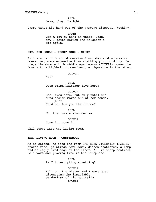PHIL Okay, okay. Tonight.

Larry takes his hand out of the garbage disposal. Nothing.

LARRY

Can't get my hand in there. Crap. Now I gotta borrow the neighbor's kid again.

# **EXT. BIG HOUSE - FRONT DOOR - NIGHT**

Phil stands in front of massive front doors of a massive house, way more expensive than anything you could buy. He rings the doorbell. A middle aged woman (OLIVIA) opens the door with a highball in one hand, a cigarette in the other.

OLIVIA

Yes?

PHIL Does Trish Pritzker live here?

OLIVIA She lives here, but only until the drug addict moves out of her condo. (then) Hold on. Are you the fiancé?

PHIL No, that was a misunder --

OLIVIA Come in, come in.

Phil steps into the living room.

# **INT. LIVING ROOM - CONTINUOUS**

As he enters, he sees the room HAS BEEN VIOLENTLY TRASHED: broken vase, paintings torn down, dishes shattered, a lamp and an empty bird cage on the floor. All in sharp contrast to a warm and glowing fire in the fireplace.

> PHIL Am I interrupting something?

OLIVIA Huh, oh, the mister and I were just discussing the insatiable wanderlust of his genitalia. (MORE)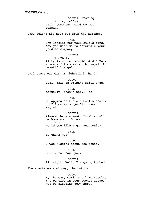OLIVIA (CONT'D) (turns, yells) Carl! Come out here! We got company!

Carl sticks his head out from the kitchen.

#### CARL

I'm looking for your stupid bird. Now you want me to entertain your goddamn company?

## OLIVIA

(to Phil) Pinky is not a "stupid bird." He's a wonderful cockatoo. An angel. A beautiful angel.

Carl steps out with a highball in hand.

OLIVIA Carl, this is Trish's fiiii-ancé.

PHIL Actually, that's not... no.

CARL Strapping on the old ball-n-chain, huh? A decision you'll never regret.

### OLIVIA

Please, have a seat. Trish should be home soon. Or not. (then) Would you like a gin and tonic?

PHIL

No thank you.

OLTVTA I was kidding about the tonic.

PHIL

Still, no thank you.

OLIVIA All right. Well, I'm going to bed.

She starts up stairway, then stops.

## OLIVIA

By the way, Carl, until we resolve the panties-in-your-pocket issue, you're sleeping down here.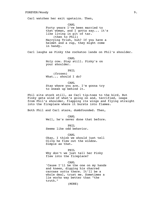Carl watches her exit upstairs. Then,

CARL Forty years I've been married to that woman, and I gotta say... it's like living in pit of tar. (then to Phil) Marrying Trish, huh? If you have a helmet and a cup, they might come in handy.

Carl laughs as Pinky the cockatoo lands on Phil's shoulder.

CARL Holy cow. Stay still. Pinky's on your shoulder.

PHIL (frozen) What... should I do?

## CARL

Stay where you are. I'm gonna try to sneak up behind it.

Phil sits stock still, as Carl tip-toes to the bird. But Pinky gets wind of what's going on and, terrified, leaps from Phil's shoulder, flapping its wings and flying straight into the fireplace where it bursts into flames.

Both Phil and Carl stare, dumbfounded. Then,

CARL

Well, he's never done that before.

PHTT.

Seems like odd behavior.

CARL

Okay, I think we should just tell Oliva he flew out the window. Simple as that.

PHIL

Why don't we just tell her Pinky flew into the fireplace?

CARL

'Cause I'll be the one on my hands and knees, digging his charred carcass outta there. It'll be a whole deal, trust me. Sometimes a lie works way better than "the truth."

(MORE)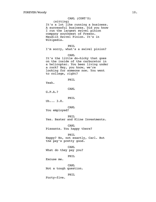# CARL (CONT'D)

(sitting)

It's a lot like running a business. A successful business. Did you know I run the largest swivel pinion company southwest of Fresno. Maudlin Swivel Pinion. It's in Wikipedia.

# PHIL

I'm sorry, what's a swivel pinion?

### CARL

It's the little do-hicky that goes on the inside of the carburetor in a helicopter. You been living under a rock? Hey, you know, we're looking for someone now. You went to college, right?

PHIL

Yeah.

## CARL

G.P.A.?

### PHIL

Uh... 3.8.

### CARL

You employed?

PHIL Yes. Baxter and Kline Investments.

CARL

Pissants. You happy there?

PHIL

Happy? No, not exactly, Carl. But the pay's pretty good.

CARL What do they pay you?

PHIL

Excuse me.

CARL Not a tough question.

PHIL

Forty-five.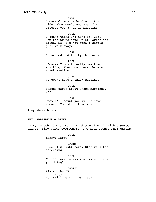CARL Thousand? You panhandle on the side? What would you say if I offered you a job at Maudlin?

PHIL

I don't think I'd take it, Carl. I'm hoping to move up at Baxter and Kline. So, I'm not sure I should just walk away.

CARL A hundred and thirty thousand.

PHIL 'Course I don't really owe them anything. They don't even have a snack machine.

CARL We don't have a snack machine.

PHIL Nobody cares about snack machines, Carl.

CARL Then I'll count you in. Welcome aboard. You start tomorrow.

They shake hands.

# **INT. APARTMENT - LATER**

Larry is behind the (real) TV dismantling it with a screw driver. Tiny parts everywhere. The door opens, Phil enters.

PHIL

Larry! Larry!

LARRY Dude, I'm right here. Stop with the screaming.

PHIL You'll never quess what -- what are you doing?

LARRY Fixing the TV. (then) You still getting married?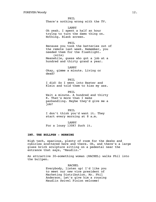PHIL There's nothing wrong with the TV.

LARRY Oh yeah. I spent a half an hour trying to turn the damn thing on. Nothing. Blank screen.

PHIL

Because you took the batteries out of the remote last week. Remember, you needed them for the flashlight. (sits) Meanwhile, guess who got a job at a hundred and thirty grand a year.

LARRY Okay, gimme a minute. Living or dead?

PHTT. I did! So I went into Baxter and Klein and told them to kiss my ass.

PHIL Wait a minute. A hundred and thirty K. That's more than I make panhandling. Maybe they'd give me a job?

PHIL I don't think you'd want it. They start every morning at 8 a.m.

LARRY For a lousy 130K? Suck it.

# **INT. THE BULLPEN - MORNING**

High tech, spacious, plenty of room for the desks and cubicles scattered here and there. Oh, and there's a large glass brick sculpture sitting on a pedestal near the entrance that says, "Maudlin."

An attractive 30-something woman (RACHEL) walks Phil into the bullpen.

> RACHEL Everybody, listen up! I'd like you to meet our new vice president of Marketing Distribution. Mr. Phil Anderson. Let's give him a rousing Maudlin Swivel Pinion welcome!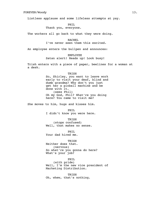Listless applause and some lifeless attempts at yay.

PHTT.

Thank you, everyone.

The workers all go back to what they were doing.

RACHEL I've never seen them this excited.

An employee enters the bullpen and announces:

EMPLOYEE Satan alert! Heads up! Look busy!

Trish enters with a piece of paper, beelines for a woman at a desk.

### TRSH

So, Shirley, you want to leave work early to visit your deaf, blind and dumb grandma? Why don't you just get her a pinball machine and be done with it. (sees Phil) Oh my God, Phil? What're you doing here? You came to visit me?

She moves to him, hugs and kisses him.

PHIL I didn't know you were here.

TRISH (stops confused) Well, that makes no sense.

PHIL Your dad hired me.

TRSH

Neither does that. (nervous) So what're you gonna do here? What's your job?

PHIL (with pride) Well, I'm the new vice president of Marketing Distribution.

TRSH Oh, whew, that's nothing.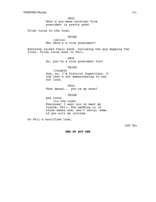PHIL What'd you mean nothing? Vice president is pretty good.

Trish turns to the room.

TRISH (yells) Who here's a vice president?

Everyone raises their hand, including the guy mopping the floor. Trish turns back to Phil.

PHIL

So, you're a vice president too?

TRISH

(laughs) God, no. I'm District Supervisor. A job that's not embarrassing to say out loud.

PHIL That means... you're my boss?

TRISH

And lover. (to the room) Everyone! I want you to meet my fiancé, Phil. The wedding is in three weeks and, don't worry, some of you will be invited.

On Phil's horrified look,

CUT TO:

**END OF ACT ONE**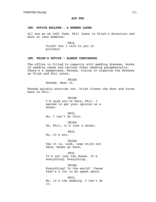# **ACT TWO**

# **INT. OFFICE BULLPEN - A MOMENT LATER**

All are as we left them. Phil leans in Trish's direction and more or less mumbles:

> PHIL Trish? Can I talk to you in private?

# **INT. TRISH'S OFFICE - ALMOST CONTINUOUS**

The office is filled to capacity with wedding dresses, books of wedding cakes and various other wedding paraphernalia. There's a seamstress, Rhonda, trying to organize the dresses as Trish and Phil enter.

> TRSH Rhonda. Beat it.

Rhonda quickly scurries out, Trish closes the door and turns back to Phil.

> TRISH I'm glad you're here, Phil. I wanted to get your opinion on a dress.

PHTT. No, I can't do this.

TRISH Oh, Phil, it's just a dress.

PHIL

No, it's not.

TRSH Yes it is. Look, legs stick out here, boobs go here.

PHIL It's not just the dress. It's everything. Everything.

TRISH Everything? In the world? 'Cause that's a lot to be upset about.

PHIL No, it's the wedding. I can't do it.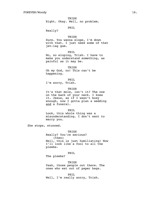TRISH Right. Okay. Well, no problem.

PHIL

Really?

TRISH

Sure. You wanna elope, I'm down with that. I just need some of that jet-lag gum.

PHIL No, no eloping, Trish. I have to make you understand something, as painful as it may be.

TRISH Oh my God, no! This can't be happening.

PHIL I'm sorry, Trish.

**TRISH** 

It's that mole, isn't it? The one on the back of your neck. I knew it. Jesus, as if I wasn't busy enough, now I gotta plan a wedding and a funeral.

PHIL

Look, this whole thing was a misunderstanding. I don't want to marry you.

She stops, stunned.

TRISH Really? You're serious? (then) Well, this is just humiliating! Now I'll look like a fool to all the pleebs.

PHIL

The pleebs?

TRISH Yeah, those people out there. The ones who eat out of paper bags.

PHIL Well, I'm really sorry, Trish.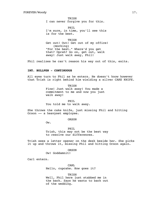TRISH I can never forgive you for this.

PHIL I'm sure, in time, you'll see this is for the best.

TRISH Get out! Out! Get out of my office! (mocking) "For the best." Where'd you get that? Oprah? Go on, get out, walk away! Just walk away, Phil!

Phil realizes he can't reason his way out of this, exits.

# **INT. BULLPEN - CONTINUOUS**

All eyes turn to Phil as he enters. He doesn't know however that Trish is right behind him wielding a silver CAKE KNIFE.

> TRISH Fine! Just walk away! You made a commitment to me and now you just walk away!

PHIL You told me to walk away.

She throws the cake knife, just missing Phil and hitting Orson -- a heavyset employee.

ORSON

Ow.

PHIL Trish, this may not be the best way to resolve our differences.

Trish sees a letter opener on the desk beside her. She picks it up and throws it, missing Phil and hitting Orson again.

ORSON

Ow! Goddamnit!

Carl enters.

CARL Hello, cupcake. How goes it?

TRSH Well, Phil here just stabbed me in the back. Says he wants to back out of the wedding.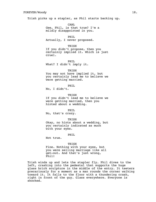Trish picks up a stapler, as Phil starts backing up.

CARL Gee, Phil, is that true? I'm a mildly disappointed in you.

PHIL Actually, I never proposed.

### **TRISH**

If you didn't propose, then you certainly implied it. Which is just cruel.

PHIL What? I didn't imply it.

### TRISH

You may not have implied it, but you certainly lead me to believe we were getting married.

PHIL

No, I didn't.

### TRISH

If you didn't lead me to believe we were getting married, then you hinted about a wedding.

PHIL

No, that's crazy.

TRISH

Okay, no hints about a wedding, but you certainly indicated as much with your eyes.

PHIL

Not true.

#### TRISH

Fine. Nothing with your eyes, but you were selling marriage like all get-out. And that's just wrong, Phil!

Trish winds up and lets the stapler fly. Phil dives to the left, crashing into the pedestal that supports the huge glass brick sculpture in the middle of the entry. It teeters precariously for a moment as a man rounds the corner walking toward it. It falls to the floor with a thundering crash, right in front of the guy. Glass everywhere. Everyone is shocked.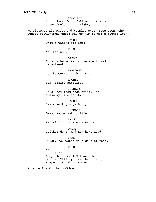SOME GUY Your glass thing fell over. Boy, my chest feels tight. Tight, tight...

He clutches his chest and topples over, face down. The others slowly make their way to him to get a better look.

> RACHEL That's what's his name.

### TRISH

No it's not.

ORSON I think he works in the electrical department.

EMPLOYEE No, he works in shipping.

RACHEL Nah, office supplies.

SHIRLEY It's Chet from accounting. I'd stake my life on it.

RACHEL His name tag says Barry.

SHIRLEY Okay, maybe not my life.

TRISH Barry? I don't know a Barry.

ORSON Neither do I. And now he's dead.

CARL Trish? You wanna take care of this.

TRISH

Me? (then) Okay, let's call 911 and the police. Phil, you're the primary suspect, so stick around.

Trish exits for her office.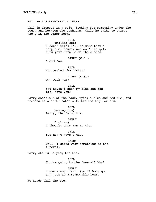### **INT. PHIL'S APARTMENT - LATER**

Phil is dressed in a suit, looking for something under the couch and between the cushions, while he talks to Larry, who's in the other room.

> PHTL (calling out) I don't think I'll be more than a couple of hours. And don't forget, it's your turn to do the dishes.

> > LARRY (O.S.)

I did 'em.

PHIL You washed the dishes?

LARRY (O.S.) Oh, wash 'em?

PHIL You haven't seen my blue and red tie, have you?

Larry comes out of the back, tying a blue and red tie, and dressed in a suit that's a little too big for him.

> PHIL (seeing him) Larry, that's my tie.

LARRY (looking) I thought this was my tie.

PHIL You don't have a tie.

LARRY Well, I gotta wear something to the funeral.

Larry starts untying the tie.

PHIL You're going to the funeral? Why?

LARRY

I wanna meet Carl. See if he's got any jobs at a reasonable hour.

He hands Phil the tie.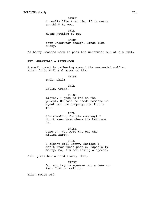LARRY I really like that tie, if it means anything to you.

PHIL Means nothing to me.

LARRY Your underwear though. Binds like crazy.

As Larry reaches back to pick the underwear out of his butt,

### **EXT. GRAVEYARD - AFTERNOON**

A small crowd is gathering around the suspended coffin. Trish finds Phil and moves to him.

TRISH

Phil! Phil!

PHIL

Hello, Trish.

TRISH

Listen, I just talked to the priest. He said he needs someone to speak for the company, and that's you.

PHIL

I'm speaking for the company? I don't even know where the bathroom is.

TRISH Come on, you were the one who killed Barry.

PHTT. I didn't kill Barry. Besides I don't know these people. Especially Barry. So, I'm not making a speech.

Phil gives her a hard stare, then,

TRISH Oh, and try to squeeze out a tear or two. Just to sell it.

Trish moves off.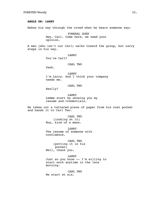# **ANGLE ON: LARRY**

Makes his way through the crowd when he hears someone say:

FUNERAL GOER Hey, Carl. Come here, we need your opinion.

A man (who isn't our Carl) walks toward the group, but Larry steps in his way.

LARRY

You're Carl?

## CARL TWO

Yeah.

LARRY I'm Larry. And I think your company needs me.

CARL TWO

Really?

LARRY Lemme start by showing you my resume and credentials.

He takes out a tattered piece of paper from his coat pocket and hands it to Carl Two.

> CARL TWO (looking at it) Boy, kind of a mess.

LARRY The resume of someone with confidence.

CARL TWO (putting it in his pocket) Well, thank you.

LARRY Just so you know -- I'm willing to start work anytime in the late morning.

CARL TWO We start at six.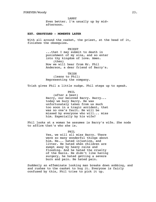LARRY Even better. I'm usually up by midafternoon.

## **EXT. GRAVEYARD - MOMENTS LATER**

With all around the casket, the priest, at the head of it, finishes the obsequies.

> PRIEST ...that I may submit to death in punishment of my sins, and so enter into thy kingdom of love. Amen. (then) Now we will hear from Mr. Phil Anderson, a dear friend of Barry's.

TRISH (leans to Phil) Representing the company.

Trish gives Phil a little nudge. Phil steps up to speak.

PHIL

(after a beat) Barry, our beloved Barry. Barry... today we bury Barry. He was unfortunately taken from us much too soon in a tragic accident, that was no one's fault. He will be missed by everyone who will... miss him. Especially by his wife?

Phil looks at a woman he assumes is Barry's wife. She nods to affirm that's who she is.

> PHIL Yes, we will all miss Barry. There were so many wonderful things about him. He... hated injustice, and litter. He hated when children are swept away by heavy rains and flooding. And he hated the cruelty of the Nazis. He didn't like having surgery, he hated getting a severe burn and pain. He hated pain.

Suddenly an effeminate looking man breaks down sobbing, and and rushes to the casket to hug it. Everyone is fairly confused by this, Phil tries to pick it up.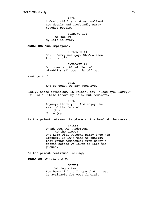PHIL I don't think any of us realized how deeply and profoundly Barry touched people.

SOBBING GUY (to casket) My life is over.

**ANGLE ON: Two Employees.**

EMPLOYEE #1 So... Barry was gay? Who'da seen that comin'?

EMPLOYEE #2 Oh, come on, Lloyd. He had playbills all over his office.

Back to Phil.

PHIL And so today we say good-bye.

Oddly, those attending, in unison, say, "Good-bye, Barry." Phil is a little thrown by this, but recovers.

> PHIL Anyway, thank you. And enjoy the rest of the funeral. (then) Not enjoy.

As the priest retakes his place at the head of the casket,

PRIEST Thank you, Mr. Anderson. (to the crowd) The Lord will welcome Barry into His Kingdom. So it's time to extract that young homosexual from Barry's coffin before we lower it into the ground.

As the priest continues talking,

**ANGLE ON: Olivia and Carl**

OLIVIA (wiping a tear) How beautiful... I hope that priest is available for your funeral.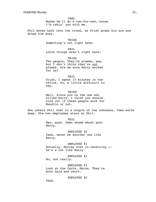CARL Maybe he'll do a two-for-one,'cause I'm takin' you with me.

Phil moves back into the crowd, as Trish grabs his arm and drags him away.

> TRISH Something's not right here.

> > PHIL

Lotta things aren't right here.

TRISH The people. They're pleebs, yes, but I don't think they're our pleebs. Are we sure Barry worked for us?

PHIL Trish, I spent 15 minutes in the office. So, a little difficult to say.

TRISH Well, since you're the one who killed Barry, I think you should find out if these people work for Maudlin or not.

She ushers Phil over to a couple of the unknowns, then walks away. The two employees stare at Phil.

> PHIL Hey, guys. Damn shame about poor Barry.

EMPLOYEE #2 Yeah, never be another one like Barry.

EMPLOYEE #1 Actually, Murray over in receiving - he's a lot like Barry.

EMPLOYEE #2 No, not really.

EMPLOYEE #1 Look at the facts, Myron. They're both bald and short.

EMPLOYEE #2

Yeah.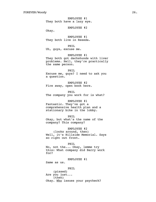EMPLOYEE #1 They both have a lazy eye.

EMPLOYEE #2

Okay.

EMPLOYEE #1 They both live in Reseda.

PHIL

Uh, guys, excuse me.

EMPLOYEE #1

They both got dachshunds with liver problems. Hell, they're practically the same person.

PHIL

Excuse me, guys? I need to ask you a question.

EMPLOYEE #2 Fire away, open book here.

PHIL

The company you work for is what?

# EMPLOYEE #1

Fantastic. They've got a comprehensive health plan and a stationary bike in the lobby.

#### PHIL

Okay, but what's the name of the company? This company?

EMPLOYEE #2

(looks around, then) Well, it's Hillside Memorial. Says so right out front.

### PHIL

No, not the... Okay, lemme try this: What company did Barry work for?

EMPLOYEE #1 Same as us.

# PHIL

(pissed) Are you just... (then) Okay. Who issues your paycheck?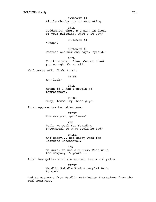EMPLOYEE #2 Little chubby guy in accounting.

PHIL Goddamnit! There's a sign in front of your building. What's it say?

EMPLOYEE #1

"Stop"?

EMPLOYEE #2 There's another one says, "yield."

PHIL You know what! Fine. Cannot thank you enough. Or at all.

Phil moves off, finds Trish.

TRISH

Any luck?

PHIL Maybe if I had a couple of thumbscrews.

**TRISH** Okay, lemme try these guys.

Trish approaches two older men.

TRISH How are you, gentlemen?

MAN Well, we work for Scardino Sheetmetal so what could be bad?

TRISH And Barry... did Barry work for Scardino Sheetmetal?

MAN

Oh sure. He was a cutter. Been with the company 15 years --

Trish has gotten what she wanted, turns and yells.

TRISH Maudlin Spindle Pinion people! Back to work!

And as everyone from Maudlin extricates themselves from the real mourners,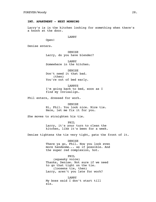### **INT. APARTMENT - NEXT MORNING**

Larry's is in the kitchen looking for something when there's a knock at the door.

### LARRY

Open!

Denise enters.

DENISE Larry, do you have blender?

LARRY Somewhere in the kitchen.

DENISE Don't need it that bad. (then) You're out of bed early.

LARRYS I'm going back to bed, soon as I find my Invisalign.

Phil enters, dressed for work.

DENISE Hi, Phil. You look nice. Nice tie. Here, let me fix it for you.

She moves to straighten his tie.

PHIL Larry, it's your turn to clean the kitchen, like it's been for a week.

Denise tightens the tie very tight, pats the front of it.

DENISE There ya go, Phil. Now you look even more handsome... as if possible. And the super red complexion, hot.

PHIL

(squeaky voice) Thanks, Denise. Not sure if we need to go that tight on the tie. (loosens tie, then) Larry, aren't you late for work?

LARRY My boss said I don't start till six.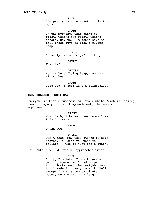PHIL I'm pretty sure he meant six in the morning.

LARRY In the morning? That can't be right. That's not right. That's insane. No, no, I'm gonna have to tell those guys to take a flying heap.

DENISE Actually, it's "leap," not heap.

LARRY

What is?

DENISE You "take a flying leap," not "a flying heap."

LARRY Good God, I feel like a blimbecile.

### **INT. BULLPEN - NEXT DAY**

Everyone is there, business as usual, while Trish is looking over a company financial spreadsheet, the work of an employee.

> TRSH Wow, Beth, I haven't seen work like this in years.

> > BETH

Thank you.

TRISH

Don't thank me. This stinks to high heaven. You said you went to college -- was it just for a lunch?

Phil enters out of breath, approaches Trish.

PHIL

Sorry, I'm late. I don't have a parking space, so I had to park four blocks away. Bad neighborhood. But I made it, ready to work. Well, except I'm at a twenty minute meter, so I can't stay long...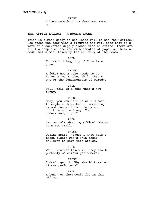TRISH I have something to show you. Come on.

# **INT. OFFICE HALLWAY - A MOMENT LATER**

Trish is almost giddy as she leads Phil to his "new office." She opens the door with a flourish and Phil sees that it's more of a converted supply closet than an office. There are still a couple of shelves with sheaths of paper on them. A desk that almost takes up the entirety of the room.

> PHIL You're kidding, right? This is a joke.

TRISH A joke? No. A joke needs to be funny to be a joke, Phil. That's one of the fundamentals of comedy.

PHIL Well, this is a joke that's not funny.

TRISH Okay, you wouldn't think I'd have to explain this, but if something is not funny, it's unfunny and can't be not unfunny. You understand, right?

PHIL Can we talk about my office? 'Cause it's too small.

TRISH Define small, 'cause I know half a dozen pleebs who'd skin their children to have this office.

PHIL

Well, whoever takes it, they should probably be circus performers?

TRISH I don't get it. Why should they be circus performers?

PHIL A bunch of them could fit in this office.